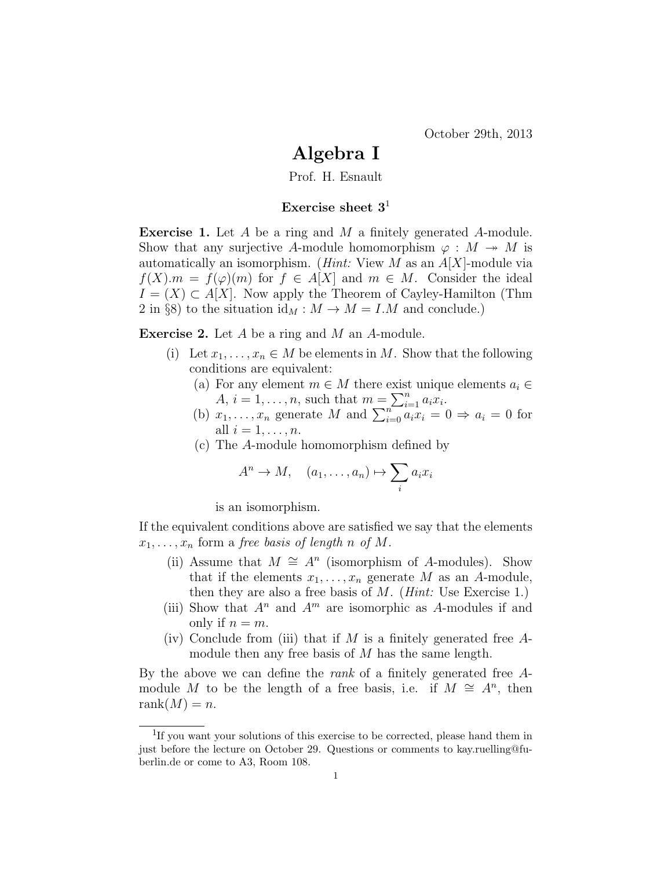October 29th, 2013

## Algebra I

Prof. H. Esnault

## Exercise sheet  $3<sup>1</sup>$

Exercise 1. Let A be a ring and M a finitely generated A-module. Show that any surjective A-module homomorphism  $\varphi : M \to M$  is automatically an isomorphism. (*Hint:* View M as an  $A[X]$ -module via  $f(X)$ . $m = f(\varphi)(m)$  for  $f \in A[X]$  and  $m \in M$ . Consider the ideal  $I = (X) \subset A[X]$ . Now apply the Theorem of Cayley-Hamilton (Thm 2 in §8) to the situation id<sub>M</sub> :  $M \rightarrow M = I.M$  and conclude.)

Exercise 2. Let A be a ring and M an A-module.

- (i) Let  $x_1, \ldots, x_n \in M$  be elements in M. Show that the following conditions are equivalent:
	- (a) For any element  $m \in M$  there exist unique elements  $a_i \in$  $A, i = 1, \ldots, n$ , such that  $m = \sum_{i=1}^{n} a_i x_i$ .
	- (b)  $x_1, \ldots, x_n$  generate M and  $\sum_{i=0}^{n} a_i x_i = 0 \Rightarrow a_i = 0$  for all  $i = 1, \ldots, n$ .
	- (c) The A-module homomorphism defined by

$$
A^n \to M, \quad (a_1, \ldots, a_n) \mapsto \sum_i a_i x_i
$$

is an isomorphism.

If the equivalent conditions above are satisfied we say that the elements  $x_1, \ldots, x_n$  form a free basis of length n of M.

- (ii) Assume that  $M \cong A^n$  (isomorphism of A-modules). Show that if the elements  $x_1, \ldots, x_n$  generate M as an A-module, then they are also a free basis of  $M$ . (*Hint:* Use Exercise 1.)
- (iii) Show that  $A^n$  and  $A^m$  are isomorphic as A-modules if and only if  $n = m$ .
- (iv) Conclude from (iii) that if M is a finitely generated free  $A$ module then any free basis of M has the same length.

By the above we can define the rank of a finitely generated free Amodule M to be the length of a free basis, i.e. if  $M \cong A^n$ , then rank $(M) = n$ .

<sup>&</sup>lt;sup>1</sup>If you want your solutions of this exercise to be corrected, please hand them in just before the lecture on October 29. Questions or comments to kay.ruelling@fuberlin.de or come to A3, Room 108.